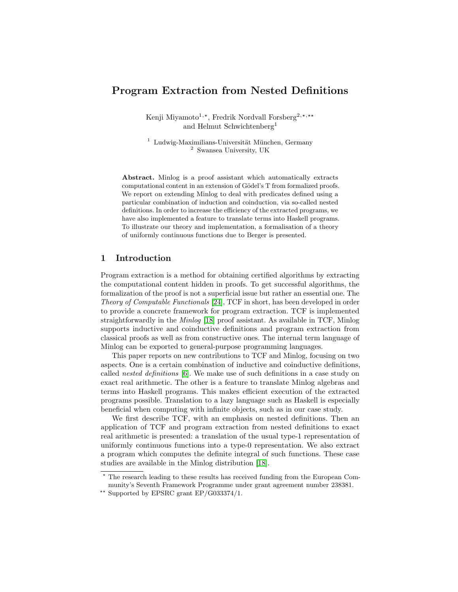# Program Extraction from Nested Definitions

Kenji Miyamoto<sup>1,\*</sup>, Fredrik Nordvall Forsberg<sup>2,\*,\*\*</sup> and Helmut Schwichtenberg<sup>1</sup>

 $1$  Ludwig-Maximilians-Universität München, Germany <sup>2</sup> Swansea University, UK

Abstract. Minlog is a proof assistant which automatically extracts computational content in an extension of Gödel's T from formalized proofs. We report on extending Minlog to deal with predicates defined using a particular combination of induction and coinduction, via so-called nested definitions. In order to increase the efficiency of the extracted programs, we have also implemented a feature to translate terms into Haskell programs. To illustrate our theory and implementation, a formalisation of a theory of uniformly continuous functions due to Berger is presented.

## 1 Introduction

Program extraction is a method for obtaining certified algorithms by extracting the computational content hidden in proofs. To get successful algorithms, the formalization of the proof is not a superficial issue but rather an essential one. The Theory of Computable Functionals [\[24\]](#page-15-0), TCF in short, has been developed in order to provide a concrete framework for program extraction. TCF is implemented straightforwardly in the Minlog [\[18\]](#page-14-0) proof assistant. As available in TCF, Minlog supports inductive and coinductive definitions and program extraction from classical proofs as well as from constructive ones. The internal term language of Minlog can be exported to general-purpose programming languages.

This paper reports on new contributions to TCF and Minlog, focusing on two aspects. One is a certain combination of inductive and coinductive definitions, called nested definitions [\[6\]](#page-14-1). We make use of such definitions in a case study on exact real arithmetic. The other is a feature to translate Minlog algebras and terms into Haskell programs. This makes efficient execution of the extracted programs possible. Translation to a lazy language such as Haskell is especially beneficial when computing with infinite objects, such as in our case study.

We first describe TCF, with an emphasis on nested definitions. Then an application of TCF and program extraction from nested definitions to exact real arithmetic is presented: a translation of the usual type-1 representation of uniformly continuous functions into a type-0 representation. We also extract a program which computes the definite integral of such functions. These case studies are available in the Minlog distribution [\[18\]](#page-14-0).

<sup>?</sup> The research leading to these results has received funding from the European Community's Seventh Framework Programme under grant agreement number 238381.

<sup>\*\*</sup> Supported by EPSRC grant  $EP/G033374/1$ .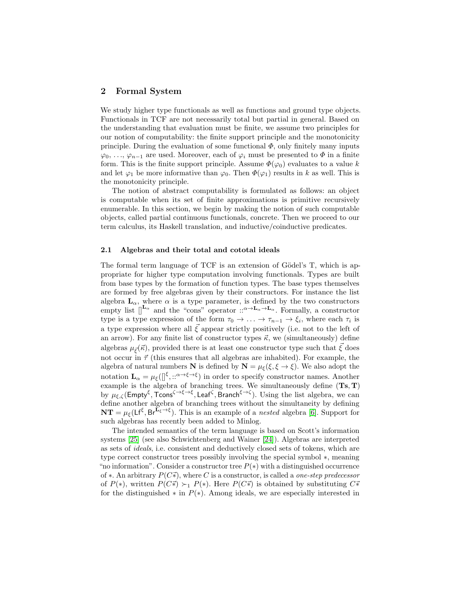## 2 Formal System

We study higher type functionals as well as functions and ground type objects. Functionals in TCF are not necessarily total but partial in general. Based on the understanding that evaluation must be finite, we assume two principles for our notion of computability: the finite support principle and the monotonicity principle. During the evaluation of some functional  $\Phi$ , only finitely many inputs  $\varphi_0, \ldots, \varphi_{n-1}$  are used. Moreover, each of  $\varphi_i$  must be presented to  $\Phi$  in a finite form. This is the finite support principle. Assume  $\Phi(\varphi_0)$  evaluates to a value k and let  $\varphi_1$  be more informative than  $\varphi_0$ . Then  $\Phi(\varphi_1)$  results in k as well. This is the monotonicity principle.

The notion of abstract computability is formulated as follows: an object is computable when its set of finite approximations is primitive recursively enumerable. In this section, we begin by making the notion of such computable objects, called partial continuous functionals, concrete. Then we proceed to our term calculus, its Haskell translation, and inductive/coinductive predicates.

## 2.1 Algebras and their total and cototal ideals

The formal term language of TCF is an extension of Gödel's  $T$ , which is appropriate for higher type computation involving functionals. Types are built from base types by the formation of function types. The base types themselves are formed by free algebras given by their constructors. For instance the list algebra  $\mathbf{L}_{\alpha}$ , where  $\alpha$  is a type parameter, is defined by the two constructors empty list  $\begin{bmatrix} L_{\alpha} \\ a \end{bmatrix}$  and the "cons" operator  $\therefore \alpha \rightarrow L_{\alpha} \rightarrow L_{\alpha}$ . Formally, a constructor type is a type expression of the form  $\tau_0 \to \ldots \to \tau_{n-1} \to \xi_i$ , where each  $\tau_i$  is a type expression where all  $\xi$  appear strictly positively (i.e. not to the left of an arrow). For any finite list of constructor types  $\vec{\kappa}$ , we (simultaneously) define algebras  $\mu_{\vec{\xi}}(\vec{\kappa})$ , provided there is at least one constructor type such that  $\xi$  does not occur in  $\vec{\tau}$  (this ensures that all algebras are inhabited). For example, the algebra of natural numbers **N** is defined by  $N = \mu_{\xi}(\xi, \xi \to \xi)$ . We also adopt the notation  $\mathbf{L}_{\alpha} = \mu_{\xi}([\xi, \dots^{\alpha \to \xi \to \xi})$  in order to specify constructor names. Another example is the algebra of branching trees. We simultaneously define  $(Ts, T)$ by  $\mu_{\xi,\zeta}(\text{Empty}^{\xi},\text{Tcons}^{\zeta\to\xi\to\xi},\text{Leaf}^{\zeta},\text{Branch}^{\xi\to\zeta})$ . Using the list algebra, we can define another algebra of branching trees without the simultaneity by defining  $NT = \mu_{\xi} (Lf^{\xi}, Br^{\mathbf{L}_{\xi} \to \xi}).$  This is an example of a *nested* algebra [\[6\]](#page-14-1). Support for such algebras has recently been added to Minlog.

The intended semantics of the term language is based on Scott's information systems [\[25\]](#page-15-1) (see also Schwichtenberg and Wainer [\[24\]](#page-15-0)). Algebras are interpreted as sets of ideals, i.e. consistent and deductively closed sets of tokens, which are type correct constructor trees possibly involving the special symbol ∗, meaning "no information". Consider a constructor tree  $P(*)$  with a distinguished occurrence of  $\ast$ . An arbitrary  $P(C\vec{\ast})$ , where C is a constructor, is called a *one-step predecessor* of  $P(*)$ , written  $P(C\vec{*}) \succ_1 P(*)$ . Here  $P(C\vec{*})$  is obtained by substituting  $C\vec{*}$ for the distinguished  $*$  in  $P(*)$ . Among ideals, we are especially interested in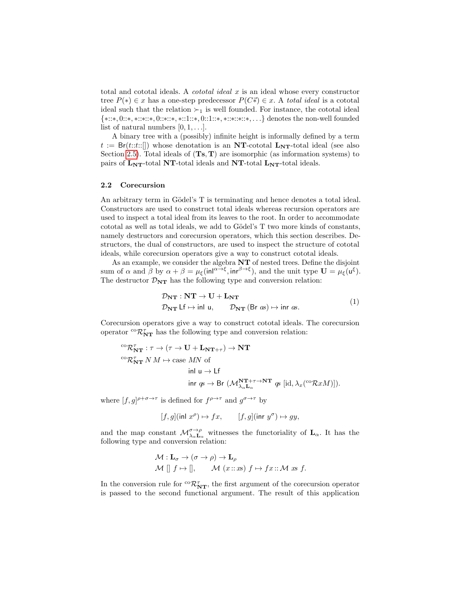total and cototal ideals. A *cototal ideal* x is an ideal whose every constructor tree  $P(*) \in x$  has a one-step predecessor  $P(C\vec{*}) \in x$ . A total ideal is a cototal ideal such that the relation  $\succ_1$  is well founded. For instance, the cototal ideal {∗::∗, 0::∗, ∗::∗::∗, 0::∗::∗, ∗::1::∗, 0::1::∗, ∗::∗::∗::∗, . . .} denotes the non-well founded list of natural numbers  $[0, 1, \ldots]$ .

A binary tree with a (possibly) infinite height is informally defined by a term  $t := \text{Br}(t::t::[])$  whose denotation is an NT-cototal  $\text{Ly}_T$ -total ideal (see also Section [2.5\)](#page-5-0). Total ideals of  $(Ts, T)$  are isomorphic (as information systems) to pairs of  $L_{NT}$ -total NT-total ideals and NT-total  $L_{NT}$ -total ideals.

### <span id="page-2-0"></span>2.2 Corecursion

An arbitrary term in Gödel's T is terminating and hence denotes a total ideal. Constructors are used to construct total ideals whereas recursion operators are used to inspect a total ideal from its leaves to the root. In order to accommodate cototal as well as total ideals, we add to Gödel's T two more kinds of constants, namely destructors and corecursion operators, which this section describes. Destructors, the dual of constructors, are used to inspect the structure of cototal ideals, while corecursion operators give a way to construct cototal ideals.

As an example, we consider the algebra NT of nested trees. Define the disjoint sum of  $\alpha$  and  $\beta$  by  $\alpha + \beta = \mu_{\xi}(\text{inl}^{\alpha \to \xi}, \text{inr}^{\beta \to \xi})$ , and the unit type  $\mathbf{U} = \mu_{\xi}(\mathbf{u}^{\xi})$ . The destructor  $\mathcal{D}_{NT}$  has the following type and conversion relation:

$$
\mathcal{D}_{NT} : NT \to U + L_{NT}
$$
  
\n
$$
\mathcal{D}_{NT} \downarrow f \mapsto \text{inl } u, \qquad \mathcal{D}_{NT} \left( Br \text{ as} \right) \mapsto \text{inr } \text{as.}
$$
\n(1)

Corecursion operators give a way to construct cototal ideals. The corecursion operator  ${}^{co}\mathcal{R}^{\tau}_{\mathbf{NT}}$  has the following type and conversion relation:

$$
{}^{\mathrm{co}}\mathcal{R}_{\mathbf{NT}}^{\tau} : \tau \to (\tau \to \mathbf{U} + \mathbf{L}_{\mathbf{NT}+\tau}) \to \mathbf{NT}
$$
  
\n
$$
{}^{\mathrm{co}}\mathcal{R}_{\mathbf{NT}}^{\tau} N M \mapsto \text{case } MN \text{ of}
$$
  
\n
$$
\text{inl } \mathbf{u} \to \mathsf{Lf}
$$
  
\n
$$
\text{inr } q \circ \to \mathsf{Br } (\mathcal{M}_{\lambda_{\alpha}\mathbf{L}_{\alpha}}^{\mathbf{NT}+\tau \to \mathbf{NT}} \mathbf{g} \text{ } [\text{id}, \lambda_x({}^{\mathrm{co}}\mathcal{R}xM)]).
$$

where  $[f, g]^{p+\sigma\to\tau}$  is defined for  $f^{p\to\tau}$  and  $g^{\sigma\to\tau}$  by

$$
[f,g](\text{inl } x^{\rho}) \mapsto fx, \qquad [f,g](\text{inr } y^{\sigma}) \mapsto gy,
$$

and the map constant  $\mathcal{M}_{\lambda_{\alpha}}^{\sigma\to\rho}$  witnesses the functoriality of  $\mathbf{L}_{\alpha}$ . It has the following type and conversion relation:

$$
\mathcal{M} : \mathbf{L}_{\sigma} \to (\sigma \to \rho) \to \mathbf{L}_{\rho}
$$
  

$$
\mathcal{M} [] f \mapsto [] , \qquad \mathcal{M} (x::xs) f \mapsto fx::\mathcal{M} xs f.
$$

In the conversion rule for  ${}^{co}\mathcal{R}^{\tau}_{\mathbf{NT}}$ , the first argument of the corecursion operator is passed to the second functional argument. The result of this application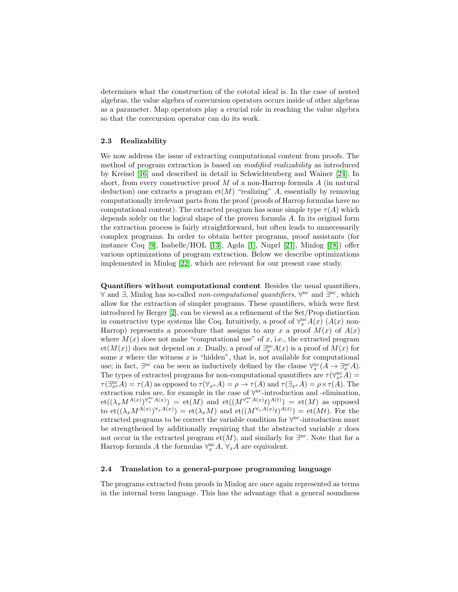determines what the construction of the cototal ideal is. In the case of nested algebras, the value algebra of corecursion operators occurs inside of other algebras as a parameter. Map operators play a crucial role in reaching the value algebra so that the corecursion operator can do its work.

## 2.3 Realizability

We now address the issue of extracting computational content from proofs. The method of program extraction is based on modified realizability as introduced by Kreisel [\[16\]](#page-14-2) and described in detail in Schwichtenberg and Wainer [\[24\]](#page-15-0). In short, from every constructive proof M of a non-Harrop formula  $\tilde{A}$  (in natural deduction) one extracts a program  $et(M)$  "realizing" A, essentially by removing computationally irrelevant parts from the proof (proofs of Harrop formulas have no computational content). The extracted program has some simple type  $\tau(A)$  which depends solely on the logical shape of the proven formula A. In its original form the extraction process is fairly straightforward, but often leads to unnecessarily complex programs. In order to obtain better programs, proof assistants (for instance Coq [\[9\]](#page-14-3), Isabelle/HOL [\[13\]](#page-14-4), Agda [\[1\]](#page-14-5), Nuprl [\[21\]](#page-15-2), Minlog [\[18\]](#page-14-0)) offer various optimizations of program extraction. Below we describe optimizations implemented in Minlog [\[22\]](#page-15-3), which are relevant for our present case study.

Quantifiers without computational content Besides the usual quantifiers, ∀ and ∃, Minlog has so-called *non-computational quantifiers*,  $\forall^{nc}$  and  $\exists^{nc}$ , which allow for the extraction of simpler programs. These quantifiers, which were first introduced by Berger [\[2\]](#page-14-6), can be viewed as a refinement of the Set/Prop distinction in constructive type systems like Coq. Intuitively, a proof of  $\forall_x^{\text{nc}} A(x)$  ( $A(x)$  non-Harrop) represents a procedure that assigns to any x a proof  $M(x)$  of  $A(x)$ where  $M(x)$  does not make "computational use" of x, i.e., the extracted program  $et(M(x))$  does not depend on x. Dually, a proof of  $\exists_x^{\text{nc}} A(x)$  is a proof of  $M(x)$  for some  $x$  where the witness  $x$  is "hidden", that is, not available for computational use; in fact,  $\exists^{\text{nc}}$  can be seen as inductively defined by the clause  $\forall^{\text{nc}}_{x}(A \to \exists^{\text{nc}}_{x} A)$ . The types of extracted programs for non-computational quantifiers are  $\tau(\forall_{x^{\rho}}^{\text{nc}}A)$  =  $\tau(\exists_{x}^{\text{nc}} A) = \tau(A)$  as opposed to  $\tau(\forall_{x} A) = \rho \to \tau(A)$  and  $\tau(\exists_{x} A) = \rho \times \tau(A)$ . The extraction rules are, for example in the case of  $\forall^{\text{nc}}$ -introduction and -elimination,  $\mathrm{et}((\lambda_x M^{A(x)})^{\forall_x^{nc}A(x)}) \ = \ \mathrm{et}(M) \ \ \mathrm{and} \ \ \mathrm{et}((M^{\forall_x^{nc}A(x)}t)^{A(t)}) \ = \ \mathrm{et}(M) \ \ \mathrm{as} \ \ \mathrm{opposed}$ to  $\operatorname{et}((\lambda_x M^{A(x)})^{\forall_x A(x)}) = \operatorname{et}(\lambda_x M)$  and  $\operatorname{et}((M^{\forall_x A(x)} t)^{A(t)}) = \operatorname{et}(Mt)$ . For the extracted programs to be correct the variable condition for  $\forall$ <sup>nc</sup>-introduction must be strengthened by additionally requiring that the abstracted variable  $x$  does not occur in the extracted program et $(M)$ , and similarly for  $\exists^{nc}$ . Note that for a Harrop formula A the formulas  $\forall_x^{\text{nc}} A$ ,  $\forall_x A$  are equivalent.

## 2.4 Translation to a general-purpose programming language

The programs extracted from proofs in Minlog are once again represented as terms in the internal term language. This has the advantage that a general soundness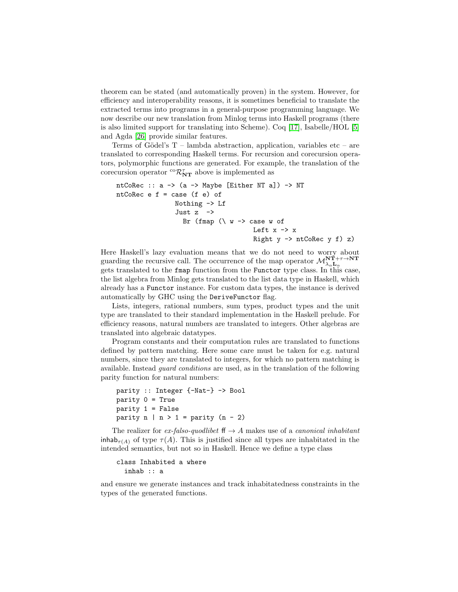theorem can be stated (and automatically proven) in the system. However, for efficiency and interoperability reasons, it is sometimes beneficial to translate the extracted terms into programs in a general-purpose programming language. We now describe our new translation from Minlog terms into Haskell programs (there is also limited support for translating into Scheme). Coq [\[17\]](#page-14-7), Isabelle/HOL [\[5\]](#page-14-8) and Agda [\[26\]](#page-15-4) provide similar features.

Terms of Gödel's  $T$  – lambda abstraction, application, variables etc – are translated to corresponding Haskell terms. For recursion and corecursion operators, polymorphic functions are generated. For example, the translation of the corecursion operator  ${}^{co}\mathcal{R}^{\tau}_{\mathbf{NT}}$  above is implemented as

```
ntCoRec :: a -> (a -> Maybe [Either NT a]) -> NT
ntCoRec e f = case (f e) of
                   Nothing -> Lf
                   Just z ->
                     Br (fmap (\nabla \times -\nabla \times \cdot \cdot) of
                                            Left x \rightarrow xRight y \rightarrow ntCoRec y f) z)
```
Here Haskell's lazy evaluation means that we do not need to worry about guarding the recursive call. The occurrence of the map operator  $\mathcal{M}_{\lambda_{\alpha}\mathbf{L}_{\alpha}}^{\mathbf{NT}+\tau\rightarrow\mathbf{NT}}$ gets translated to the fmap function from the Functor type class. In this case, the list algebra from Minlog gets translated to the list data type in Haskell, which already has a Functor instance. For custom data types, the instance is derived automatically by GHC using the DeriveFunctor flag.

Lists, integers, rational numbers, sum types, product types and the unit type are translated to their standard implementation in the Haskell prelude. For efficiency reasons, natural numbers are translated to integers. Other algebras are translated into algebraic datatypes.

Program constants and their computation rules are translated to functions defined by pattern matching. Here some care must be taken for e.g. natural numbers, since they are translated to integers, for which no pattern matching is available. Instead guard conditions are used, as in the translation of the following parity function for natural numbers:

```
parity :: Integer {-Nat-} -> Bool
parity 0 = Trueparity 1 = Falseparity n | n > 1 = parity (n - 2)
```
The realizer for ex-falso-quodlibet  $\mathsf{ff} \to A$  makes use of a canonical inhabitant inhab<sub> $\tau(A)$ </sub> of type  $\tau(A)$ . This is justified since all types are inhabitated in the intended semantics, but not so in Haskell. Hence we define a type class

```
class Inhabited a where
  inhab :: a
```
and ensure we generate instances and track inhabitatedness constraints in the types of the generated functions.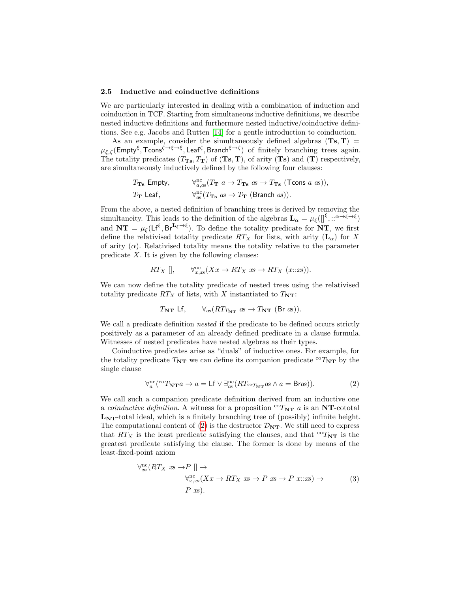#### <span id="page-5-0"></span>2.5 Inductive and coinductive definitions

We are particularly interested in dealing with a combination of induction and coinduction in TCF. Starting from simultaneous inductive definitions, we describe nested inductive definitions and furthermore nested inductive/coinductive definitions. See e.g. Jacobs and Rutten [\[14\]](#page-14-9) for a gentle introduction to coinduction.

As an example, consider the simultaneously defined algebras  $(Ts, T)$  =  $\mu_{\xi,\zeta}$ (Empty<sup>ξ</sup>, Tcons<sup> $\zeta \to \xi \to \xi$ </sup>, Leaf<sup>ζ</sup>, Branch<sup> $\xi \to \zeta$ </sup>) of finitely branching trees again. The totality predicates  $(T_{\text{Ts}}, T_{\text{T}})$  of  $(\text{Ts}, \text{T})$ , of arity  $(\text{Ts})$  and  $(\text{T})$  respectively, are simultaneously inductively defined by the following four clauses:

$$
T_{\mathbf{T}\mathbf{s}} \text{ Empty}, \qquad \forall_{a,\text{as}}^{\text{nc}} (T_{\mathbf{T}} \ a \to T_{\mathbf{T}\mathbf{s}} \ as \to T_{\mathbf{T}\mathbf{s}} \ (\text{Tcons } a \ as)),
$$
  

$$
T_{\mathbf{T}} \text{Leaf}, \qquad \forall_{\text{as}}^{\text{nc}} (T_{\mathbf{T}\mathbf{s}} \ as \to T_{\mathbf{T}} \ (\text{Branch } as)).
$$

From the above, a nested definition of branching trees is derived by removing the simultaneity. This leads to the definition of the algebras  $\mathbf{L}_{\alpha} = \mu_{\xi}([\int^{\xi}, \cdots^{\alpha} \to \xi \to \xi])$ and  $NT = \mu_{\xi}(Lf^{\xi}, Br^{\mathbf{L}_{\xi} \to \xi})$ . To define the totality predicate for NT, we first define the relativised totality predicate  $RT_X$  for lists, with arity  $(L_\alpha)$  for X of arity  $(\alpha)$ . Relativised totality means the totality relative to the parameter predicate  $X$ . It is given by the following clauses:

$$
RT_X [\], \qquad \forall_{x,ss}^{\text{nc}} (Xx \to RT_X \text{ as } \to RT_X \text{ (}x::\text{.})\text{)}.
$$

We can now define the totality predicate of nested trees using the relativised totality predicate  $RT_X$  of lists, with X instantiated to  $T_{NT}$ :

<span id="page-5-1"></span>
$$
T_{\mathbf{NT}} \mathsf{Lf}, \qquad \forall_{\mathit{as}} (RT_{T_{\mathbf{NT}}} \mathit{as} \rightarrow T_{\mathbf{NT}} \mathit{(\mathsf{Br} \mathit{as})}).
$$

We call a predicate definition nested if the predicate to be defined occurs strictly positively as a parameter of an already defined predicate in a clause formula. Witnesses of nested predicates have nested algebras as their types.

Coinductive predicates arise as "duals" of inductive ones. For example, for the totality predicate  $T_{NT}$  we can define its companion predicate  ${}^{co}T_{NT}$  by the single clause

$$
\forall^{\text{nc}}_{a} (^{\text{co}}T_{\mathbf{NT}}a \to a = \mathsf{Lf} \lor \exists^{\text{nc}}_{as} (RT_{\text{co}}_{T_{\mathbf{NT}}} \mathit{as} \land a = \mathsf{Bras})). \tag{2}
$$

We call such a companion predicate definition derived from an inductive one a *coinductive definition*. A witness for a proposition  ${}^{co}T_{\mathbf{NT}}$  a is an **NT**-cototal  $L_{\text{NT}}$ -total ideal, which is a finitely branching tree of (possibly) infinite height. The computational content of [\(2\)](#page-5-1) is the destructor  $\mathcal{D}_{NT}$ . We still need to express that  $RT_X$  is the least predicate satisfying the clauses, and that  ${}^{co}T_{NT}$  is the greatest predicate satisfying the clause. The former is done by means of the least-fixed-point axiom

<span id="page-5-2"></span>
$$
\forall_{\mathcal{X}}^{\text{nc}}(RT_X \ x \rightarrow P \left[ \right] \rightarrow
$$
  
\n
$$
\forall_{x,\mathcal{X}}^{\text{nc}}(Xx \rightarrow RT_X \ x \rightarrow P \ x \rightarrow P \ x::x \rightarrow)
$$
  
\n
$$
P \ x \rightarrow
$$
  
\n(3)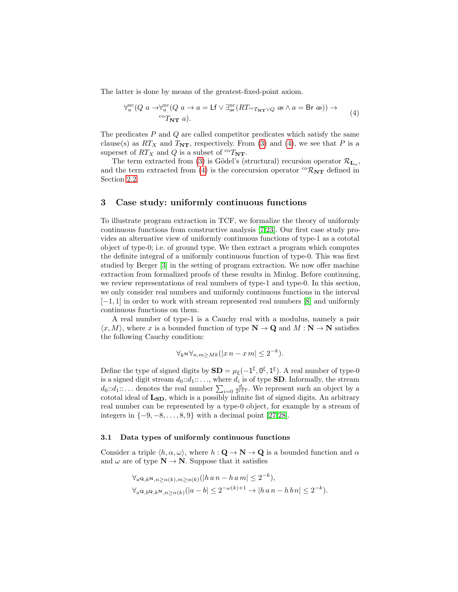The latter is done by means of the greatest-fixed-point axiom.

<span id="page-6-0"></span>
$$
\forall_a^{\rm nc}(Q \ a \to \forall_a^{\rm nc}(Q \ a \to a = \mathsf{Lf} \ \lor \ \exists_{as}^{\rm nc}(RT_{\rm ^{co}T_{\mathbf{NT}} \lor Q} \ as \land a = \mathsf{Br} \ as)) \to
$$
  
\n
$$
{}^{\rm co}T_{\mathbf{NT}} \ a).
$$
\n(4)

The predicates  $P$  and  $Q$  are called competitor predicates which satisfy the same clause(s) as  $RT_X$  and  $T_{NT}$ , respectively. From [\(3\)](#page-5-2) and [\(4\)](#page-6-0), we see that P is a superset of  $RT_X$  and Q is a subset of  ${}^{co}T_{\mathbf{NT}}$ .

The term extracted from [\(3\)](#page-5-2) is Gödel's (structural) recursion operator  $\mathcal{R}_{\mathbf{L}_{\alpha}}$ , and the term extracted from [\(4\)](#page-6-0) is the corecursion operator  ${}^{co}\mathcal{R}_{NT}$  defined in Section [2.2.](#page-2-0)

## 3 Case study: uniformly continuous functions

To illustrate program extraction in TCF, we formalize the theory of uniformly continuous functions from constructive analysis [\[7,](#page-14-10)[23\]](#page-15-5). Our first case study provides an alternative view of uniformly continuous functions of type-1 as a cototal object of type-0; i.e. of ground type. We then extract a program which computes the definite integral of a uniformly continuous function of type-0. This was first studied by Berger [\[3\]](#page-14-11) in the setting of program extraction. We now offer machine extraction from formalized proofs of these results in Minlog. Before continuing, we review representations of real numbers of type-1 and type-0. In this section, we only consider real numbers and uniformly continuous functions in the interval  $[-1, 1]$  in order to work with stream represented real numbers [\[8\]](#page-14-12) and uniformly continuous functions on them.

A real number of type-1 is a Cauchy real with a modulus, namely a pair  $\langle x, M \rangle$ , where x is a bounded function of type  $N \to \mathbf{Q}$  and  $M : \mathbf{N} \to \mathbf{N}$  satisfies the following Cauchy condition:

$$
\forall_{k} \forall_{n,m \geq Mk} (|x n - x m| \leq 2^{-k}).
$$

Define the type of signed digits by  $SD = \mu_{\xi}(-1^{\xi}, 0^{\xi}, 1^{\xi})$ . A real number of type-0 is a signed digit stream  $d_0: d_1: \ldots$ , where  $d_i$  is of type **SD**. Informally, the stream  $d_0: d_1: \dots$  denotes the real number  $\sum_{i=0} \frac{d_i}{2^{i+1}}$ . We represent such an object by a cototal ideal of  $L_{SD}$ , which is a possibly infinite list of signed digits. An arbitrary real number can be represented by a type-0 object, for example by a stream of integers in  $\{-9, -8, \ldots, 8, 9\}$  with a decimal point [\[27](#page-15-6)[,28\]](#page-15-7).

#### 3.1 Data types of uniformly continuous functions

Consider a triple  $\langle h, \alpha, \omega \rangle$ , where  $h : \mathbf{Q} \to \mathbf{N} \to \mathbf{Q}$  is a bounded function and  $\alpha$ and  $\omega$  are of type  $\mathbf{N} \to \mathbf{N}$ . Suppose that it satisfies

$$
\forall_{a}\mathbf{Q},_{k}\mathbf{N},_{n\geq\alpha(k)},_{m\geq\alpha(k)}(\left|h\,a\,n-h\,a\,m\right|\leq 2^{-k}),
$$
  

$$
\forall_{a}\mathbf{Q},_{b}\mathbf{Q},_{k}\mathbf{N},_{n\geq\alpha(k)}(\left|a-b\right|\leq 2^{-\omega(k)+1}\to\left|h\,a\,n-h\,b\,n\right|\leq 2^{-k}).
$$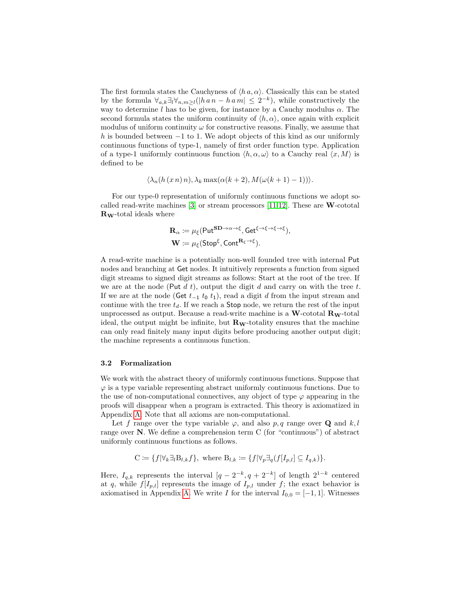The first formula states the Cauchyness of  $\langle h \, a, \alpha \rangle$ . Classically this can be stated by the formula  $\forall_{a,k} \exists_l \forall_{n,m \geq l} (|h \cap n - h \cap m| \leq 2^{-k}),$  while constructively the way to determine l has to be given, for instance by a Cauchy modulus  $\alpha$ . The second formula states the uniform continuity of  $\langle h, \alpha \rangle$ , once again with explicit modulus of uniform continuity  $\omega$  for constructive reasons. Finally, we assume that h is bounded between  $-1$  to 1. We adopt objects of this kind as our uniformly continuous functions of type-1, namely of first order function type. Application of a type-1 uniformly continuous function  $\langle h, \alpha, \omega \rangle$  to a Cauchy real  $\langle x, M \rangle$  is defined to be

$$
\langle \lambda_n(h(x n) n), \lambda_k \max(\alpha(k+2), M(\omega(k+1)-1)) \rangle.
$$

For our type-0 representation of uniformly continuous functions we adopt socalled read-write machines  $[3]$  or stream processors  $[11,12]$  $[11,12]$ . These are **W**-cototal RW-total ideals where

$$
\mathbf{R}_{\alpha} \coloneqq \mu_{\xi}(\mathsf{Put}^{\mathbf{SD}\to\alpha\to\xi}, \mathsf{Get}^{\xi\to\xi\to\xi\to\xi}),\mathbf{W} \coloneqq \mu_{\xi}(\mathsf{Stop}^{\xi}, \mathsf{Cont}^{\mathbf{R}_{\xi}\to\xi}).
$$

A read-write machine is a potentially non-well founded tree with internal Put nodes and branching at Get nodes. It intuitively represents a function from signed digit streams to signed digit streams as follows: Start at the root of the tree. If we are at the node (Put  $d\,t$ ), output the digit  $d$  and carry on with the tree  $t$ . If we are at the node (Get  $t_{-1}$   $t_0$   $t_1$ ), read a digit d from the input stream and continue with the tree  $t_d$ . If we reach a **Stop** node, we return the rest of the input unprocessed as output. Because a read-write machine is a  $\mathbf{W}$ -cototal  $\mathbf{R}_{\mathbf{W}}$ -total ideal, the output might be infinite, but  $\mathbf{R}_{\mathbf{W}}$ -totality ensures that the machine can only read finitely many input digits before producing another output digit; the machine represents a continuous function.

### 3.2 Formalization

We work with the abstract theory of uniformly continuous functions. Suppose that  $\varphi$  is a type variable representing abstract uniformly continuous functions. Due to the use of non-computational connectives, any object of type  $\varphi$  appearing in the proofs will disappear when a program is extracted. This theory is axiomatized in Appendix [A.](#page-15-8) Note that all axioms are non-computational.

Let f range over the type variable  $\varphi$ , and also p, q range over **Q** and k, l range over N. We define a comprehension term C (for "continuous") of abstract uniformly continuous functions as follows.

$$
C \coloneqq \{ f | \forall_k \exists_l B_{l,k} f \}, \text{ where } B_{l,k} \coloneqq \{ f | \forall_p \exists_q (f[I_{p,l}] \subseteq I_{q,k}) \}.
$$

Here,  $I_{q,k}$  represents the interval  $[q - 2^{-k}, q + 2^{-k}]$  of length  $2^{1-k}$  centered at q, while  $f[I_{p,l}]$  represents the image of  $I_{p,l}$  under f; the exact behavior is axiomatised in Appendix [A.](#page-15-8) We write I for the interval  $I_{0,0} = [-1,1]$ . Witnesses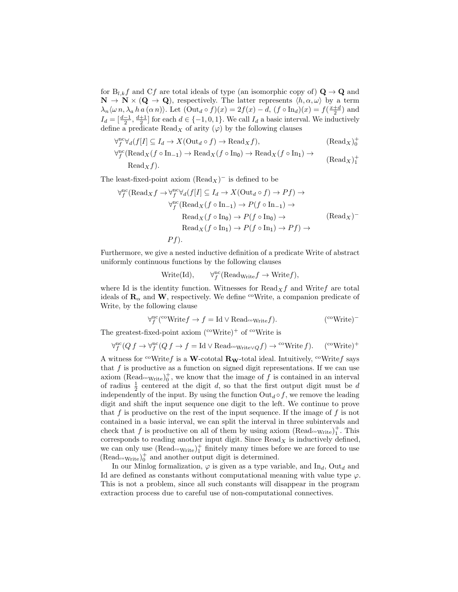for  $B_{l,k}f$  and Cf are total ideals of type (an isomorphic copy of)  $\mathbf{Q} \to \mathbf{Q}$  and  $\mathbf{N} \to \mathbf{N} \times (\mathbf{Q} \to \mathbf{Q})$ , respectively. The latter represents  $\langle h, \alpha, \omega \rangle$  by a term  $\lambda_n \langle \omega n, \lambda_a h a(\alpha n) \rangle$ . Let  $(Out_d \circ f)(x) = 2f(x) - d$ ,  $(f \circ In_d)(x) = f(\frac{x+d}{2})$  and  $I_d = \left[\frac{d-1}{2}, \frac{d+1}{2}\right]$  for each  $d \in \{-1, 0, 1\}$ . We call  $I_d$  a basic interval. We inductively define a predicate  $\text{Read}_X$  of arity  $(\varphi)$  by the following clauses

$$
\forall_{f}^{nc} \forall_{d} (f[I] \subseteq I_{d} \to X(\text{Out}_{d} \circ f) \to \text{Read}_{X} f),
$$
\n
$$
\forall_{f}^{nc} (\text{Read}_{X} (f \circ \text{In}_{-1}) \to \text{Read}_{X} (f \circ \text{In}_{0}) \to \text{Read}_{X} (f \circ \text{In}_{1}) \to
$$
\n
$$
\text{Read}_{X})_{1}^{+}
$$
\n
$$
\text{Read}_{X})_{1}^{+}
$$

 $\text{Read}_X f$ .

The least-fixed-point axiom  $(\text{Read}_X)^-$  is defined to be

$$
\forall_{f}^{\text{nc}}(\text{Read}_{X}f \to \forall_{f}^{\text{nc}}\forall_{d}(f[I] \subseteq I_{d} \to X(\text{Out}_{d} \circ f) \to Pf) \to
$$

$$
\forall_{f}^{\text{nc}}(\text{Read}_{X}(f \circ \text{In}_{-1}) \to P(f \circ \text{In}_{-1}) \to
$$

$$
\text{Read}_{X}(f \circ \text{In}_{0}) \to P(f \circ \text{In}_{0}) \to
$$

$$
\text{Read}_{X}(f \circ \text{In}_{1}) \to P(f \circ \text{In}_{1}) \to Pf) \to
$$

$$
Pf).
$$
(
$$
({\text{Read}}_{X})^{-1}
$$

Furthermore, we give a nested inductive definition of a predicate Write of abstract uniformly continuous functions by the following clauses

$$
\text{Write}(\text{Id}), \qquad \forall^{\text{nc}}_{f}(\text{Read}_{\text{Write}}f \to \text{Write}f),
$$

where Id is the identity function. Witnesses for  $\text{Read}_X f$  and Write fare total ideals of  $\mathbf{R}_{\alpha}$  and W, respectively. We define <sup>co</sup>Write, a companion predicate of Write, by the following clause

$$
\forall f^{\text{nc}}(\text{coWrite} f \to f = \text{Id} \lor \text{Read}_{\text{coWrite}} f). \tag{coWrite} \text{(*)}
$$

The greatest-fixed-point axiom  $({}^{\text{co}}$ Write)<sup>+</sup> of  ${}^{\text{co}}$ Write is

$$
\forall_f^{\text{nc}}(Qf \to \forall_f^{\text{nc}}(Qf \to f = \text{Id} \lor \text{Read}_{\text{c}\circ\text{Write}}\lor gf) \to \text{c}\circ\text{Write }f). \quad (\text{c}\circ\text{Write})^+
$$

A witness for <sup>co</sup>Writef is a W-cototal R<sub>W</sub>-total ideal. Intuitively, <sup>co</sup>Writef says that  $f$  is productive as a function on signed digit representations. If we can use axiom (Read<sub>coWrite</sub>)<sup> $+$ </sup>, we know that the image of f is contained in an interval of radius  $\frac{1}{2}$  centered at the digit d, so that the first output digit must be d independently of the input. By using the function  $Out_d \circ f$ , we remove the leading digit and shift the input sequence one digit to the left. We continue to prove that f is productive on the rest of the input sequence. If the image of f is not contained in a basic interval, we can split the interval in three subintervals and check that f is productive on all of them by using axiom  $(\text{Read}_{\text{c}})_{1}^{+}$ . This corresponds to reading another input digit. Since  $\text{Read}_X$  is inductively defined, we can only use  $(\text{Read}_{\text{c}})_{1}^{+}$  finitely many times before we are forced to use (Read $\text{c}^{\circ}$ <sub>Write</sub>)<sup>+</sup> and another output digit is determined.

In our Minlog formalization,  $\varphi$  is given as a type variable, and In<sub>d</sub>, Out<sub>d</sub> and Id are defined as constants without computational meaning with value type  $\varphi$ . This is not a problem, since all such constants will disappear in the program extraction process due to careful use of non-computational connectives.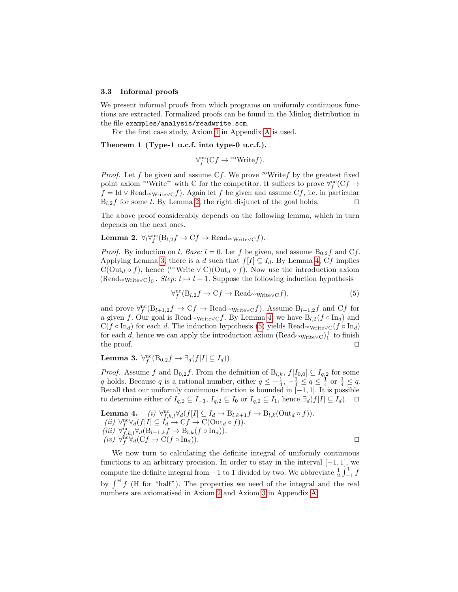#### 3.3 Informal proofs

We present informal proofs from which programs on uniformly continuous functions are extracted. Formalized proofs can be found in the Minlog distribution in the file examples/analysis/readwrite.scm.

For the first case study, Axiom [1](#page-15-9) in Appendix [A](#page-15-8) is used.

## Theorem 1 (Type-1 u.c.f. into type-0 u.c.f.).

<span id="page-9-4"></span><span id="page-9-0"></span>
$$
\forall_f^{\text{nc}}(Cf \to \text{``Write } f).
$$

*Proof.* Let f be given and assume Cf. We prove  $\omega$ Writef by the greatest fixed point axiom <sup>co</sup>Write<sup>+</sup> with C for the competitor. It suffices to prove  $\forall_f^{\text{nc}}(Cf \rightarrow$  $f = \text{Id} \vee \text{Read}_{\text{coWrite}} \vee f$ . Again let f be given and assume Cf, i.e. in particular  $B_{l,2}f$  for some l. By Lemma [2,](#page-9-0) the right disjunct of the goal holds.  $\square$ 

The above proof considerably depends on the following lemma, which in turn depends on the next ones.

Lemma 2.  $\forall_l \forall_l^{\text{nc}}(\mathbf{B}_{l,2}f \to \mathbf{C}f \to \text{Read}_{\text{c}\circ\text{WriteV}}\mathbf{C}f).$ 

*Proof.* By induction on l. Base:  $l = 0$ . Let f be given, and assume  $B_{0,2}f$  and  $Cf$ . Applying Lemma [3,](#page-9-1) there is a d such that  $f[I] \subseteq I_d$ . By Lemma [4,](#page-9-2) Cf implies  $C(\mathrm{Out}_d \circ f)$ , hence (<sup>co</sup>Write  $\vee C(\mathrm{Out}_d \circ f)$ ). Now use the introduction axiom (Read<sub>∞Write∨C</sub>)<sup>+</sup>. *Step:*  $l \mapsto l + 1$ . Suppose the following induction hypothesis

<span id="page-9-3"></span>
$$
\forall_{f}^{\text{nc}}(\mathbf{B}_{l,2}f \to \mathbf{C}f \to \text{Read}_{\text{covWrite}}\circ f),\tag{5}
$$

and prove  $\forall f^{\text{nc}}(B_{l+1,2}f \to Cf \to Read_{\text{covWrite}}\vee cf)$ . Assume  $B_{l+1,2}f$  and  $Cf$  for a given f. Our goal is Read<sub>coWrite</sub> cf. By Lemma [4,](#page-9-2) we have  $B_{l,2}(f \circ In_d)$  and  $C(f \circ In_d)$  for each d. The induction hypothesis [\(5\)](#page-9-3) yields Read<sub>coWrite</sub>  $\chi_C(f \circ In_d)$ for each d, hence we can apply the introduction axiom  $(\text{Read}_{\text{c}}_{\text{WriteVC}})^+$  to finish the proof.  $\Box$ 

<span id="page-9-1"></span>Lemma 3.  $\forall f^{\text{nc}}(B_{0,2}f \rightarrow \exists_d(f[I] \subseteq I_d)).$ 

*Proof.* Assume f and  $B_{0,2}f$ . From the definition of  $B_{l,k}$ ,  $f[I_{0,0}]\subseteq I_{q,2}$  for some q holds. Because q is a rational number, either  $q \leq -\frac{1}{4}$ ,  $-\frac{1}{4} \leq q \leq \frac{1}{4}$  or  $\frac{1}{4} \leq q$ . Recall that our uniformly continuous function is bounded in  $[-1, 1]$ . It is possible to determine either of  $I_{q,2} \subseteq I_{-1}$ ,  $I_{q,2} \subseteq I_0$  or  $I_{q,2} \subseteq I_1$ , hence  $\exists_d(f[I] \subseteq I_d)$ . □

<span id="page-9-2"></span>**Lemma 4.** (i) 
$$
\forall_{f,k,l}^{\text{nc}} \forall d(f[I] \subseteq I_d \rightarrow B_{l,k+1}f \rightarrow B_{l,k}(\text{Out}_d \circ f)).
$$
  
\n(ii)  $\forall_{f,k,l}^{\text{nc}} \forall d(f[I] \subseteq I_d \rightarrow Cf \rightarrow C(\text{Out}_d \circ f)).$   
\n(iii)  $\forall_{f,k,l}^{\text{nc}} \forall d(\text{B}_{l+1,k}f \rightarrow \text{B}_{l,k}(f \circ \text{In}_d)).$   
\n(iv)  $\forall_{f}^{\text{nc}} \forall d(\text{C}f \rightarrow \text{C}(f \circ \text{In}_d)).$ 

<span id="page-9-5"></span>We now turn to calculating the definite integral of uniformly continuous functions to an arbitrary precision. In order to stay in the interval  $[-1, 1]$ , we compute the definite integral from  $-1$  to 1 divided by two. We abbreviate  $\frac{1}{2} \int_{-1}^{1} f$ by  $\int^H f$  (H for "half"). The properties we need of the integral and the real numbers are axiomatised in Axiom [2](#page-15-10) and Axiom [3](#page-15-11) in Appendix [A.](#page-15-8)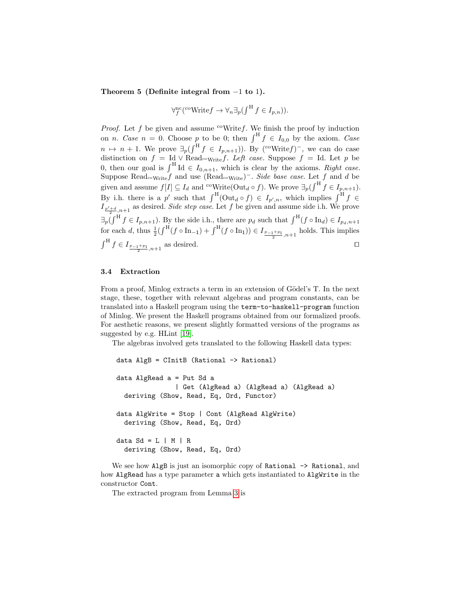Theorem 5 (Definite integral from −1 to 1).

$$
\forall_f^{\text{nc}}(\text{``Write} f \to \forall_n \exists_p (\int^{\text{H}} f \in I_{p,n})).
$$

*Proof.* Let f be given and assume  $\text{``Writef.}$  We finish the proof by induction on *n. Case n* = 0. Choose *p* to be 0; then  $\int^H f \in I_{0,0}$  by the axiom. Case  $n \mapsto n+1$ . We prove  $\exists_p(\int^{\Pi} f \in I_{p,n+1})$ ). By (<sup>co</sup>Write f)<sup>-</sup>, we can do case distinction on  $f = \text{Id} \vee \text{Read}_{\text{cov}} f$ . Left case. Suppose  $f = \text{Id}$ . Let p be 0, then our goal is  $\int^H \mathrm{Id} \in I_{0,n+1}$ , which is clear by the axioms. Right case. Suppose Read<sub>coWrite</sub> f and use (Read<sub>coWrite</sub>)<sup>-</sup>. Side base case. Let f and d be given and assume  $f[I] \subseteq I_d$  and <sup>co</sup>Write( $\text{Out}_d \circ f$ ). We prove  $\exists_p \left(\int^H f \in I_{p,n+1}\right)$ . By i.h. there is a p' such that  $\int^{\text{H}}(\text{Out}_d \circ f) \in I_{p',n}$ , which implies  $\int^{\text{H}} f \in$  $I_{\frac{p'+d}{2},n+1}$  as desired. Side step case. Let f be given and assume side i.h. We prove  $\exists p \left(\int^H f \in I_{p,n+1}\right)$ . By the side i.h., there are  $p_d$  such that  $\int^H (f \circ \text{In}_d) \in I_{p_d,n+1}$ for each d, thus  $\frac{1}{2}(\int^H (f \circ \text{In}_{-1}) + \int^H (f \circ \text{In}_{1})) \in I_{\frac{p-1+p_1}{2},n+1}$  holds. This implies  $\int^{\mathcal{H}} f \in I_{\frac{p_{-1}+p_1}{2},n+1}$  as desired.

### 3.4 Extraction

From a proof, Minlog extracts a term in an extension of Gödel's T. In the next stage, these, together with relevant algebras and program constants, can be translated into a Haskell program using the term-to-haskell-program function of Minlog. We present the Haskell programs obtained from our formalized proofs. For aesthetic reasons, we present slightly formatted versions of the programs as suggested by e.g. HLint [\[19\]](#page-14-15).

The algebras involved gets translated to the following Haskell data types:

```
data AlgB = CInitB (Rational -> Rational)
data AlgRead a = Put Sd a
               | Get (AlgRead a) (AlgRead a) (AlgRead a)
 deriving (Show, Read, Eq, Ord, Functor)
data AlgWrite = Stop | Cont (AlgRead AlgWrite)
 deriving (Show, Read, Eq, Ord)
data Sd = L | M | Rderiving (Show, Read, Eq, Ord)
```
We see how AlgB is just an isomorphic copy of Rational  $\rightarrow$  Rational, and how AlgRead has a type parameter a which gets instantiated to AlgWrite in the constructor Cont.

The extracted program from Lemma [3](#page-9-1) is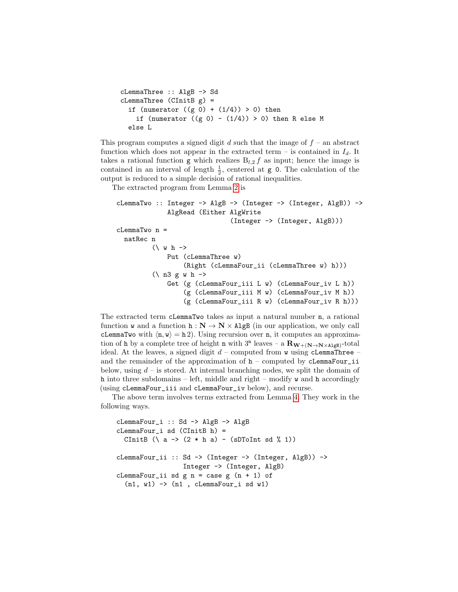```
cLemmaThree :: AlgB -> Sd
clemmaThree (CInitB g) =
  if (numerator ((g 0) + (1/4)) > 0) then
    if (numerator ((g 0) - (1/4)) > 0) then R else M
  else L
```
This program computes a signed digit d such that the image of  $f$  – an abstract function which does not appear in the extracted term – is contained in  $I_d$ . It takes a rational function g which realizes  $B_{l,2} f$  as input; hence the image is contained in an interval of length  $\frac{1}{2}$ , centered at **g** 0. The calculation of the output is reduced to a simple decision of rational inequalities.

The extracted program from Lemma [2](#page-9-0) is

```
cLemmaTwo :: Integer \rightarrow AlgB \rightarrow (Integer \rightarrow (Integer, AlgB)) \rightarrowAlgRead (Either AlgWrite
                                  (Integer -> (Integer, AlgB)))
cLemmaTwo n =
  natRec n
          (\forall w h \rightarrowPut (cLemmaThree w)
                    (Right (cLemmaFour_ii (cLemmaThree w) h)))
          (\n\vee n3 g w h -\nGet (g (cLemmaFour_iii L w) (cLemmaFour_iv L h))
                    (g (cLemmaFour_iii M w) (cLemmaFour_iv M h))
                    (g (cLemmaFour_iii R w) (cLemmaFour_iv R h)))
```
The extracted term cLemmaTwo takes as input a natural number n, a rational function w and a function  $h : N \to N \times AlgB$  (in our application, we only call cLemmaTwo with  $\langle n, w \rangle = h 2$ ). Using recursion over n, it computes an approximation of h by a complete tree of height n with  $3<sup>n</sup>$  leaves – a  $\mathbf{R}_{\mathbf{W} + (\mathbf{N} \to \mathbf{N} \times \mathbf{AlgB})}$ -total ideal. At the leaves, a signed digit  $d$  – computed from w using cLemmaThree – and the remainder of the approximation of  $h$  – computed by cLemmaFour\_ii below, using  $d$  – is stored. At internal branching nodes, we split the domain of h into three subdomains – left, middle and right – modify w and h accordingly (using cLemmaFour\_iii and cLemmaFour\_iv below), and recurse.

The above term involves terms extracted from Lemma [4.](#page-9-2) They work in the following ways.

```
cLemmaFour_i :: Sd -> AlgB -> AlgB
cLemmaFour_i sd (CInitB h) =
 CInitB (\{ a \rightarrow (2 * h a) - (sDToInt sd \{n \} 1))cLemmaFour_ii :: Sd -> (Integer -> (Integer, AlgB)) ->
                  Integer -> (Integer, AlgB)
cLemmaFour_ii sd g n = case g (n + 1) of
  (n1, w1) -> (n1, cLemmaFour_i sd w1)
```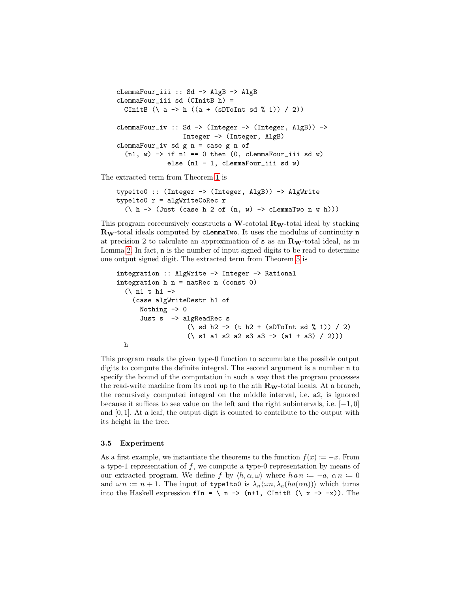```
cLemmaFour_iii :: Sd -> AlgB -> AlgB
cLemmaFour_iii sd (CInitB h) =
 CInitB (\ a -> h ((a + (sDToInt sd \frac{9}{1})) / 2))
cLemmaFour_iv :: Sd -> (Integer -> (Integer, AlgB)) ->
                 Integer -> (Integer, AlgB)
cLemmaFour_iv sd g n = case g n of
  (n1, w) -> if n1 == 0 then (0, cLemmaFour_iii sd w)
             else (n1 - 1, cLemmaFour_iii sd w)
```
The extracted term from Theorem [1](#page-9-4) is

```
type1to0 :: (Integer -> (Integer, AlgB)) -> AlgWrite
type1to0 r = algWriteCoRec r
  (\hbar \rightarrow (Just (case h 2 of (n, w) \rightarrow cLemmaTwo n w h)))
```
This program corecursively constructs a W-cototal  $\mathbf{R}_{\mathbf{W}}$ -total ideal by stacking  $\mathbf{R}_{\mathbf{W}}$ -total ideals computed by cLemmaTwo. It uses the modulus of continuity n at precision 2 to calculate an approximation of  $s$  as an  $R_W$ -total ideal, as in Lemma [2.](#page-9-0) In fact, n is the number of input signed digits to be read to determine one output signed digit. The extracted term from Theorem [5](#page-9-5) is

```
integration :: AlgWrite -> Integer -> Rational
integration h n = natRec n (const 0)
  (\nabla n1 t h1 ->
    (case algWriteDestr h1 of
      Nothing \rightarrow 0
       Just s -> algReadRec s
                     (\xi \sinh 2 \rightarrow (t \ln 2 + (s) \sinh 3 \xi \sinh 1)) / 2)(\ s1 a1 s2 a2 s3 a3 -> (a1 + a3) / 2)))
  h
```
This program reads the given type-0 function to accumulate the possible output digits to compute the definite integral. The second argument is a number n to specify the bound of the computation in such a way that the program processes the read-write machine from its root up to the nth  $\mathbf{R}_{\mathbf{W}}$ -total ideals. At a branch, the recursively computed integral on the middle interval, i.e. a2, is ignored because it suffices to see value on the left and the right subintervals, i.e.  $[-1, 0]$ and  $[0, 1]$ . At a leaf, the output digit is counted to contribute to the output with its height in the tree.

## 3.5 Experiment

As a first example, we instantiate the theorems to the function  $f(x) := -x$ . From a type-1 representation of  $f$ , we compute a type-0 representation by means of our extracted program. We define f by  $\langle h, \alpha, \omega \rangle$  where  $h a n := -a, \alpha n := 0$ and  $\omega n := n + 1$ . The input of type1to0 is  $\lambda_n \langle \omega n, \lambda_n(ha(\alpha n)) \rangle$  which turns into the Haskell expression  $fIn = \{ n \rightarrow (n+1, CInitB (\{ x \rightarrow -x \}). \ The$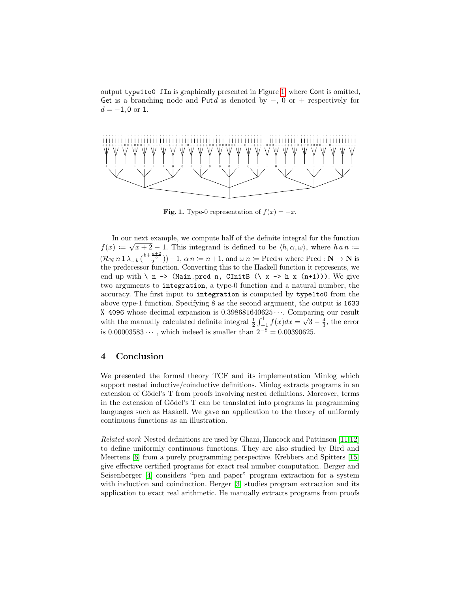output type1to0 fIn is graphically presented in Figure [1,](#page-13-0) where Cont is omitted, Get is a branching node and Put d is denoted by  $-, 0 \text{ or } +$  respectively for  $d = -1, 0$  or 1.



<span id="page-13-0"></span>**Fig. 1.** Type-0 representation of  $f(x) = -x$ .

In our next example, we compute half of the definite integral for the function  $f(x) \coloneqq \sqrt{x+2} - 1$ . This integrand is defined to be  $\langle h, \alpha, \omega \rangle$ , where  $h \circ n \coloneqq$  $(\mathcal{R}_{\mathbf{N}} n \mathbb{1} \lambda_{-,b} \left( \frac{b + \frac{a+2}{b}}{2} \right)) - 1, \alpha n \coloneqq n+1$ , and  $\omega n \coloneqq \text{Pred } n$  where  $\text{Pred}: \mathbf{N} \to \mathbf{N}$  is the predecessor function. Converting this to the Haskell function it represents, we end up with  $\langle n - \rangle$  (Main.pred n, CInitB  $(\langle x - \rangle h x (n+1))$ ). We give two arguments to integration, a type-0 function and a natural number, the accuracy. The first input to integration is computed by type1to0 from the above type-1 function. Specifying 8 as the second argument, the output is 1633 % 4096 whose decimal expansion is  $0.398681640625\cdots$ . Comparing our result with the manually calculated definite integral  $\frac{1}{2} \int_{-1}^{1} f(x) dx =$ ≀µ<br>′  $\overline{3} - \frac{4}{3}$ , the error is 0.00003583 $\dots$ , which indeed is smaller than  $2^{-8} = 0.00390625$ .

## 4 Conclusion

We presented the formal theory TCF and its implementation Minlog which support nested inductive/coinductive definitions. Minlog extracts programs in an extension of Gödel's T from proofs involving nested definitions. Moreover, terms in the extension of Gödel's T can be translated into programs in programming languages such as Haskell. We gave an application to the theory of uniformly continuous functions as an illustration.

Related work Nested definitions are used by Ghani, Hancock and Pattinson [\[11](#page-14-13)[,12\]](#page-14-14) to define uniformly continuous functions. They are also studied by Bird and Meertens [\[6\]](#page-14-1) from a purely programming perspective. Krebbers and Spitters [\[15\]](#page-14-16) give effective certified programs for exact real number computation. Berger and Seisenberger [\[4\]](#page-14-17) considers "pen and paper" program extraction for a system with induction and coinduction. Berger [\[3\]](#page-14-11) studies program extraction and its application to exact real arithmetic. He manually extracts programs from proofs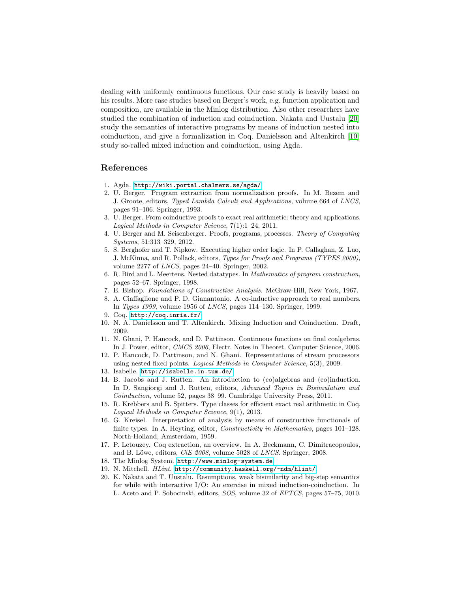dealing with uniformly continuous functions. Our case study is heavily based on his results. More case studies based on Berger's work, e.g. function application and composition, are available in the Minlog distribution. Also other researchers have studied the combination of induction and coinduction. Nakata and Uustalu [\[20\]](#page-14-18) study the semantics of interactive programs by means of induction nested into coinduction, and give a formalization in Coq. Danielsson and Altenkirch [\[10\]](#page-14-19) study so-called mixed induction and coinduction, using Agda.

## References

- <span id="page-14-5"></span>1. Agda. <http://wiki.portal.chalmers.se/agda/>.
- <span id="page-14-6"></span>2. U. Berger. Program extraction from normalization proofs. In M. Bezem and J. Groote, editors, Typed Lambda Calculi and Applications, volume 664 of LNCS, pages 91–106. Springer, 1993.
- <span id="page-14-11"></span>3. U. Berger. From coinductive proofs to exact real arithmetic: theory and applications. Logical Methods in Computer Science, 7(1):1–24, 2011.
- <span id="page-14-17"></span>4. U. Berger and M. Seisenberger. Proofs, programs, processes. Theory of Computing Systems, 51:313–329, 2012.
- <span id="page-14-8"></span>5. S. Berghofer and T. Nipkow. Executing higher order logic. In P. Callaghan, Z. Luo, J. McKinna, and R. Pollack, editors, Types for Proofs and Programs (TYPES 2000), volume 2277 of LNCS, pages 24–40. Springer, 2002.
- <span id="page-14-1"></span>6. R. Bird and L. Meertens. Nested datatypes. In Mathematics of program construction, pages 52–67. Springer, 1998.
- <span id="page-14-10"></span>7. E. Bishop. Foundations of Constructive Analysis. McGraw-Hill, New York, 1967.
- <span id="page-14-12"></span>8. A. Ciaffaglione and P. D. Gianantonio. A co-inductive approach to real numbers. In Types 1999, volume 1956 of LNCS, pages 114–130. Springer, 1999.
- <span id="page-14-3"></span>9. Coq. <http://coq.inria.fr/>.
- <span id="page-14-19"></span>10. N. A. Danielsson and T. Altenkirch. Mixing Induction and Coinduction. Draft, 2009.
- <span id="page-14-13"></span>11. N. Ghani, P. Hancock, and D. Pattinson. Continuous functions on final coalgebras. In J. Power, editor, CMCS 2006, Electr. Notes in Theoret. Computer Science, 2006.
- <span id="page-14-14"></span>12. P. Hancock, D. Pattinson, and N. Ghani. Representations of stream processors using nested fixed points. Logical Methods in Computer Science, 5(3), 2009.
- <span id="page-14-4"></span>13. Isabelle. <http://isabelle.in.tum.de/>.
- <span id="page-14-9"></span>14. B. Jacobs and J. Rutten. An introduction to (co)algebras and (co)induction. In D. Sangiorgi and J. Rutten, editors, Advanced Topics in Bisimulation and Coinduction, volume 52, pages 38–99. Cambridge University Press, 2011.
- <span id="page-14-16"></span>15. R. Krebbers and B. Spitters. Type classes for efficient exact real arithmetic in Coq. Logical Methods in Computer Science, 9(1), 2013.
- <span id="page-14-2"></span>16. G. Kreisel. Interpretation of analysis by means of constructive functionals of finite types. In A. Heyting, editor, Constructivity in Mathematics, pages 101–128. North-Holland, Amsterdam, 1959.
- <span id="page-14-7"></span>17. P. Letouzey. Coq extraction, an overview. In A. Beckmann, C. Dimitracopoulos, and B. Löwe, editors, CiE 2008, volume 5028 of LNCS. Springer, 2008.
- <span id="page-14-0"></span>18. The Minlog System. <http://www.minlog-system.de>.
- <span id="page-14-15"></span>19. N. Mitchell. HLint. <http://community.haskell.org/~ndm/hlint/>.
- <span id="page-14-18"></span>20. K. Nakata and T. Uustalu. Resumptions, weak bisimilarity and big-step semantics for while with interactive I/O: An exercise in mixed induction-coinduction. In L. Aceto and P. Sobocinski, editors, SOS, volume 32 of EPTCS, pages 57–75, 2010.